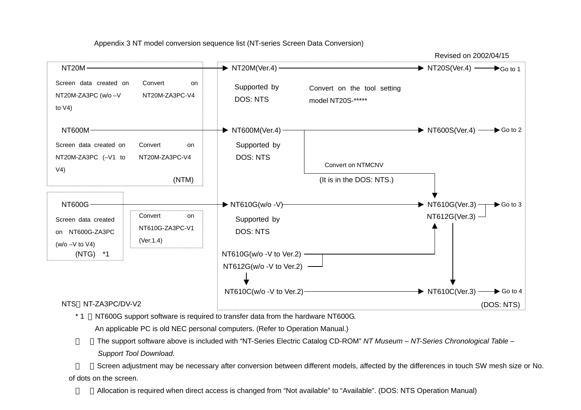Appendix 3 NT model conversion sequence list (NT-series Screen Data Conversion)



\* 1 NT600G support software is required to transfer data from the hardware NT600G.

An applicable PC is old NEC personal computers. (Refer to Operation Manual.)

The support software above is included with "NT-Series Electric Catalog CD-ROM" *NT Museum* – *NT-Series Chronological Table* –

*Support Tool Download*.

Screen adjustment may be necessary after conversion between different models, affected by the differences in touch SW mesh size or No.

of dots on the screen.

Allocation is required when direct access is changed from "Not available" to "Available". (DOS: NTS Operation Manual)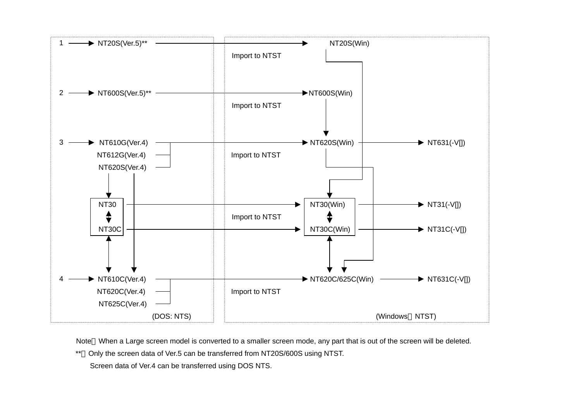

Note When a Large screen model is converted to a smaller screen mode, any part that is out of the screen will be deleted.

\*\*Only the screen data of Ver.5 can be transferred from NT20S/600S using NTST.

Screen data of Ver.4 can be transferred using DOS NTS.